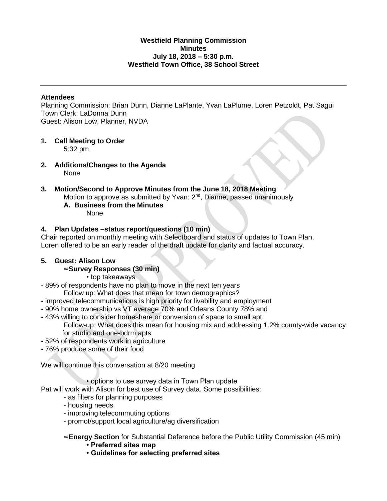### **Westfield Planning Commission Minutes July 18, 2018 – 5:30 p.m. Westfield Town Office, 38 School Street**

### **Attendees**

Planning Commission: Brian Dunn, Dianne LaPlante, Yvan LaPlume, Loren Petzoldt, Pat Sagui Town Clerk: LaDonna Dunn Guest: Alison Low, Planner, NVDA

**1. Call Meeting to Order**

5:32 pm

**2. Additions/Changes to the Agenda** None

#### **3. Motion/Second to Approve Minutes from the June 18, 2018 Meeting** Motion to approve as submitted by Yvan: 2<sup>nd</sup>, Dianne, passed unanimously **A. Business from the Minutes** None

## **4. Plan Updates –status report/questions (10 min)**

Chair reported on monthly meeting with Selectboard and status of updates to Town Plan. Loren offered to be an early reader of the draft update for clarity and factual accuracy.

### **5. Guest: Alison Low**

### ∞**Survey Responses (30 min)**

- top takeaways
- 89% of respondents have no plan to move in the next ten years Follow up: What does that mean for town demographics?
- improved telecommunications is high priority for livability and employment
- 90% home ownership vs VT average 70% and Orleans County 78% and
- 43% willing to consider homeshare or conversion of space to small apt. Follow-up: What does this mean for housing mix and addressing 1.2% county-wide vacancy for studio and one-bdrm apts
- 52% of respondents work in agriculture
- 76% produce some of their food

We will continue this conversation at 8/20 meeting

• options to use survey data in Town Plan update

Pat will work with Alison for best use of Survey data. Some possibilities:

- as filters for planning purposes
- housing needs
- improving telecommuting options
- promot/support local agriculture/ag diversification

∞**Energy Section** for Substantial Deference before the Public Utility Commission (45 min)

- **Preferred sites map**
- **Guidelines for selecting preferred sites**